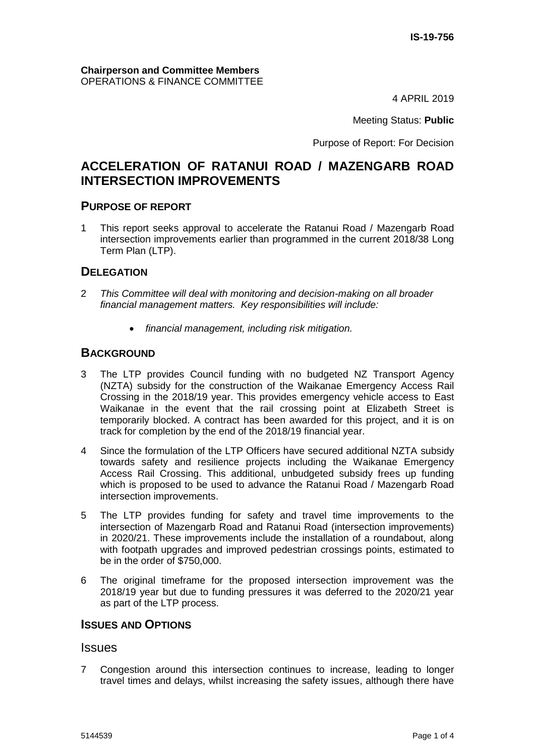4 APRIL 2019

Meeting Status: **Public**

Purpose of Report: For Decision

# **ACCELERATION OF RATANUI ROAD / MAZENGARB ROAD INTERSECTION IMPROVEMENTS**

#### **PURPOSE OF REPORT**

1 This report seeks approval to accelerate the Ratanui Road / Mazengarb Road intersection improvements earlier than programmed in the current 2018/38 Long Term Plan (LTP).

### **DELEGATION**

- 2 *This Committee will deal with monitoring and decision-making on all broader financial management matters. Key responsibilities will include:*
	- *financial management, including risk mitigation.*

#### **BACKGROUND**

- 3 The LTP provides Council funding with no budgeted NZ Transport Agency (NZTA) subsidy for the construction of the Waikanae Emergency Access Rail Crossing in the 2018/19 year. This provides emergency vehicle access to East Waikanae in the event that the rail crossing point at Elizabeth Street is temporarily blocked. A contract has been awarded for this project, and it is on track for completion by the end of the 2018/19 financial year.
- 4 Since the formulation of the LTP Officers have secured additional NZTA subsidy towards safety and resilience projects including the Waikanae Emergency Access Rail Crossing. This additional, unbudgeted subsidy frees up funding which is proposed to be used to advance the Ratanui Road / Mazengarb Road intersection improvements.
- 5 The LTP provides funding for safety and travel time improvements to the intersection of Mazengarb Road and Ratanui Road (intersection improvements) in 2020/21. These improvements include the installation of a roundabout, along with footpath upgrades and improved pedestrian crossings points, estimated to be in the order of \$750,000.
- 6 The original timeframe for the proposed intersection improvement was the 2018/19 year but due to funding pressures it was deferred to the 2020/21 year as part of the LTP process.

#### **ISSUES AND OPTIONS**

#### **Issues**

7 Congestion around this intersection continues to increase, leading to longer travel times and delays, whilst increasing the safety issues, although there have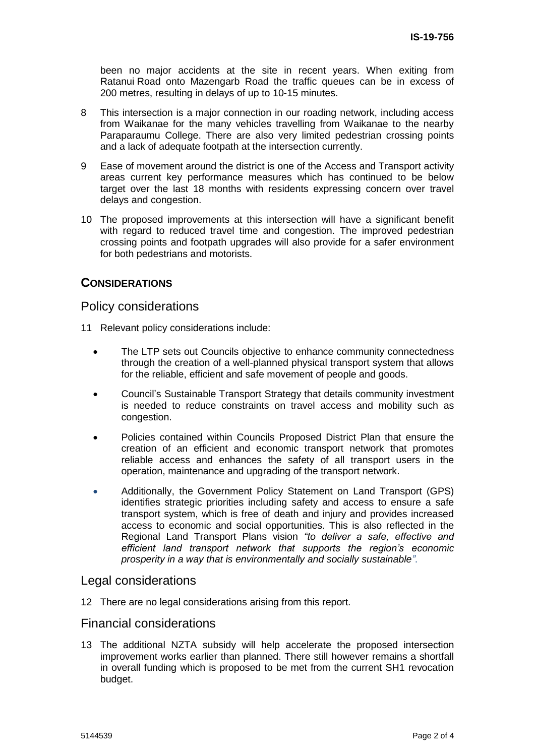been no major accidents at the site in recent years. When exiting from Ratanui Road onto Mazengarb Road the traffic queues can be in excess of 200 metres, resulting in delays of up to 10-15 minutes.

- 8 This intersection is a major connection in our roading network, including access from Waikanae for the many vehicles travelling from Waikanae to the nearby Paraparaumu College. There are also very limited pedestrian crossing points and a lack of adequate footpath at the intersection currently.
- 9 Ease of movement around the district is one of the Access and Transport activity areas current key performance measures which has continued to be below target over the last 18 months with residents expressing concern over travel delays and congestion.
- 10 The proposed improvements at this intersection will have a significant benefit with regard to reduced travel time and congestion. The improved pedestrian crossing points and footpath upgrades will also provide for a safer environment for both pedestrians and motorists.

#### **CONSIDERATIONS**

#### Policy considerations

- 11 Relevant policy considerations include:
	- The LTP sets out Councils objective to enhance community connectedness through the creation of a well-planned physical transport system that allows for the reliable, efficient and safe movement of people and goods.
	- Council's Sustainable Transport Strategy that details community investment is needed to reduce constraints on travel access and mobility such as congestion.
	- Policies contained within Councils Proposed District Plan that ensure the creation of an efficient and economic transport network that promotes reliable access and enhances the safety of all transport users in the operation, maintenance and upgrading of the transport network.
	- Additionally, the Government Policy Statement on Land Transport (GPS) identifies strategic priorities including safety and access to ensure a safe transport system, which is free of death and injury and provides increased access to economic and social opportunities. This is also reflected in the Regional Land Transport Plans vision *"to deliver a safe, effective and efficient land transport network that supports the region's economic prosperity in a way that is environmentally and socially sustainable"*.

#### Legal considerations

12 There are no legal considerations arising from this report.

#### Financial considerations

13 The additional NZTA subsidy will help accelerate the proposed intersection improvement works earlier than planned. There still however remains a shortfall in overall funding which is proposed to be met from the current SH1 revocation budget.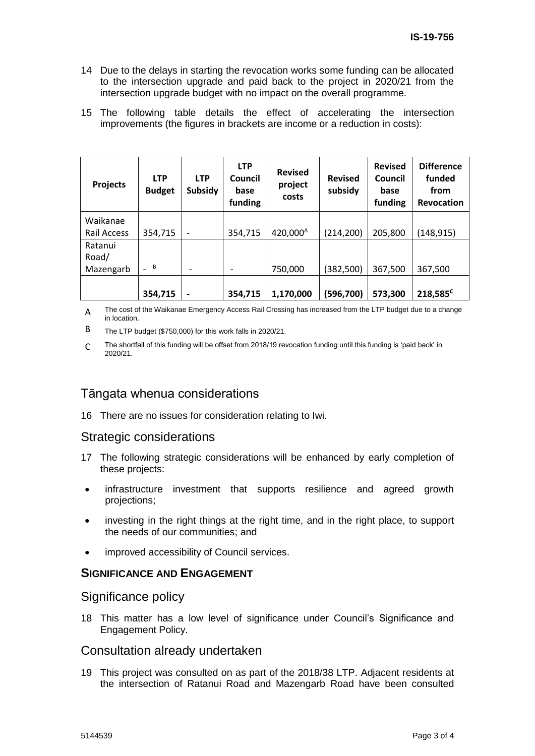- 14 Due to the delays in starting the revocation works some funding can be allocated to the intersection upgrade and paid back to the project in 2020/21 from the intersection upgrade budget with no impact on the overall programme.
- 15 The following table details the effect of accelerating the intersection improvements (the figures in brackets are income or a reduction in costs):

| <b>Projects</b> | <b>LTP</b><br><b>Budget</b> | <b>LTP</b><br><b>Subsidy</b> | <b>LTP</b><br>Council<br>base<br>funding | <b>Revised</b><br>project<br>costs | <b>Revised</b><br>subsidy | <b>Revised</b><br>Council<br>base<br>funding | <b>Difference</b><br>funded<br>from<br>Revocation |
|-----------------|-----------------------------|------------------------------|------------------------------------------|------------------------------------|---------------------------|----------------------------------------------|---------------------------------------------------|
| Waikanae        |                             |                              |                                          |                                    |                           |                                              |                                                   |
| Rail Access     | 354,715                     | -                            | 354,715                                  | 420,000 <sup>A</sup>               | (214, 200)                | 205,800                                      | (148,915)                                         |
| Ratanui         |                             |                              |                                          |                                    |                           |                                              |                                                   |
| Road/           |                             |                              |                                          |                                    |                           |                                              |                                                   |
| Mazengarb       | B                           | $\overline{\phantom{0}}$     |                                          | 750,000                            | (382, 500)                | 367,500                                      | 367,500                                           |
|                 |                             |                              |                                          |                                    |                           |                                              |                                                   |
|                 | 354,715                     |                              | 354,715                                  | 1,170,000                          | (596, 700)                | 573,300                                      | 218,585 <sup>c</sup>                              |

A The cost of the Waikanae Emergency Access Rail Crossing has increased from the LTP budget due to a change in location.

B The LTP budget (\$750,000) for this work falls in 2020/21.

C The shortfall of this funding will be offset from 2018/19 revocation funding until this funding is 'paid back' in 2020/21.

## Tāngata whenua considerations

16 There are no issues for consideration relating to Iwi.

## Strategic considerations

- 17 The following strategic considerations will be enhanced by early completion of these projects:
- infrastructure investment that supports resilience and agreed growth projections;
- investing in the right things at the right time, and in the right place, to support the needs of our communities; and
- improved accessibility of Council services.

## **SIGNIFICANCE AND ENGAGEMENT**

#### Significance policy

18 This matter has a low level of significance under Council's Significance and Engagement Policy.

#### Consultation already undertaken

19 This project was consulted on as part of the 2018/38 LTP. Adjacent residents at the intersection of Ratanui Road and Mazengarb Road have been consulted